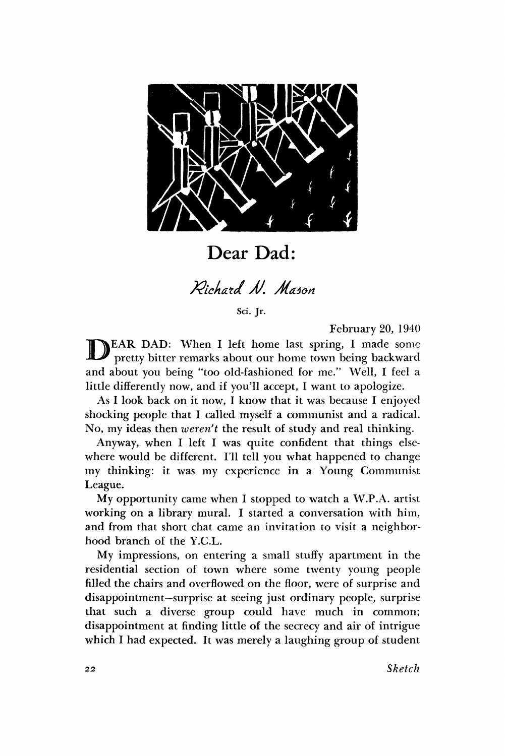

Dear Dad:

*Richard N. Mason* 

Sci. Jr.

February 20, 1940

D EAR DAD: When I left home last spring, I made some pretty bitter remarks about our home town being backward and about you being "too old-fashioned for me." Well, I feel a little differently now, and if you'll accept, I want to apologize.

As I look back on it now, I know that it was because I enjoyed shocking people that I called myself a communist and a radical. No, my ideas then *weren't* the result of study and real thinking.

Anyway, when I left I was quite confident that things elsewhere would be different. I'll tell you what happened to change my thinking: it was my experience in a Young Communist League.

My opportunity came when I stopped to watch a W.P.A. artist working on a library mural. I started a conversation with him, and from that short chat came an invitation to visit a neighborhood branch of the Y.C.L.

My impressions, on entering a small stuffy apartment in the residential section of town where some twenty young people filled the chairs and overflowed on the floor, were of surprise and disappointment—surprise at seeing just ordinary people, surprise that such a diverse group could have much in common; disappointment at finding little of the secrecy and air of intrigue which I had expected. It was merely a laughing group of student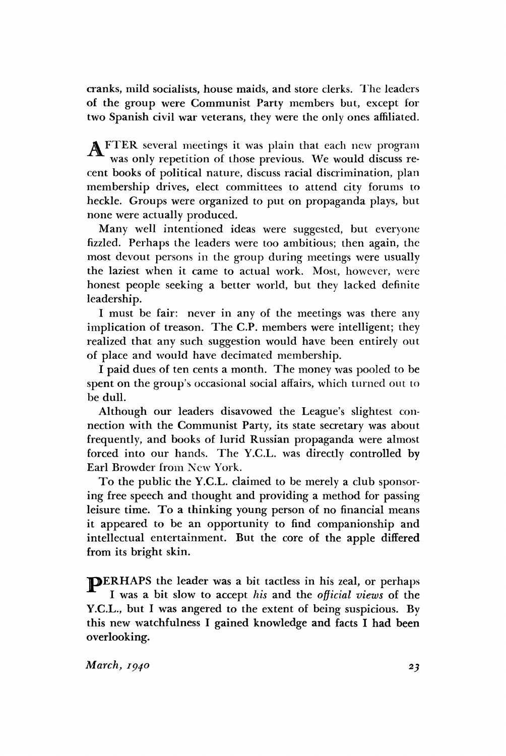cranks, mild socialists, house maids, and store clerks. The leaders of the group were Communist Party members but, except for two Spanish civil war veterans, they were the only ones affiliated.

A FTER several meetings it was plain that each new program was only repetition of those previous. We would discuss recent books of political nature, discuss racial discrimination, plan membership drives, elect committees to attend city forums to heckle. Groups were organized to put on propaganda plays, but none were actually produced.

Many well intentioned ideas were suggested, but everyone fizzled. Perhaps the leaders were too ambitious; then again, the most devout persons in the group during meetings were usually the laziest when it came to actual work. Most, however, were honest people seeking a better world, but they lacked definite leadership.

I must be fair: never in any of the meetings was there any implication of treason. The C.P. members were intelligent; they realized that any such suggestion would have been entirely out of place and would have decimated membership.

I paid dues of ten cents a month. The money was pooled to be spent on the group's occasional social affairs, which turned out to be dull.

Although our leaders disavowed the League's slightest connection with the Communist Party, its state secretary was about frequently, and books of lurid Russian propaganda were almost forced into our hands. The Y.C.L. was directly controlled by Earl Browder from New York.

To the public the Y.C.L. claimed to be merely a club sponsoring free speech and thought and providing a method for passing leisure time. To a thinking young person of no financial means it appeared to be an opportunity to find companionship and intellectual entertainment. But the core of the apple differed from its bright skin.

TDERHAPS the leader was a bit tactless in his zeal, or perhaps I was a bit slow to accept *his* and the *official views* of the Y.C.L., but I was angered to the extent of being suspicious. By this new watchfulness I gained knowledge and facts I had been overlooking.

*March, 1940 23*